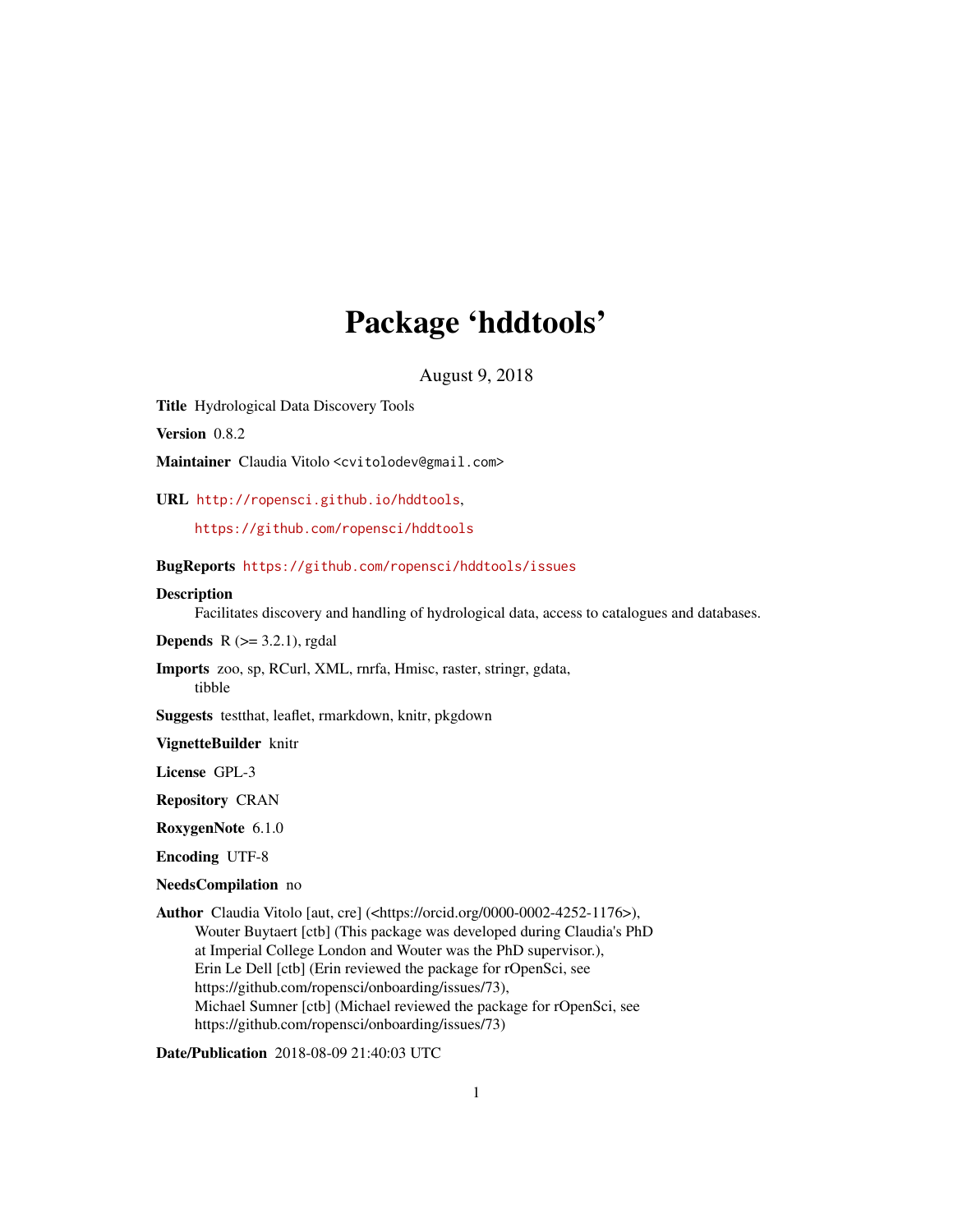# Package 'hddtools'

August 9, 2018

Title Hydrological Data Discovery Tools

Version 0.8.2

Maintainer Claudia Vitolo <cvitolodev@gmail.com>

URL <http://ropensci.github.io/hddtools>,

<https://github.com/ropensci/hddtools>

BugReports <https://github.com/ropensci/hddtools/issues>

#### **Description**

Facilitates discovery and handling of hydrological data, access to catalogues and databases.

**Depends**  $R$  ( $>= 3.2.1$ ), rgdal

Imports zoo, sp, RCurl, XML, rnrfa, Hmisc, raster, stringr, gdata, tibble

Suggests testthat, leaflet, rmarkdown, knitr, pkgdown

VignetteBuilder knitr

License GPL-3

Repository CRAN

RoxygenNote 6.1.0

Encoding UTF-8

NeedsCompilation no

Author Claudia Vitolo [aut, cre] (<https://orcid.org/0000-0002-4252-1176>), Wouter Buytaert [ctb] (This package was developed during Claudia's PhD at Imperial College London and Wouter was the PhD supervisor.), Erin Le Dell [ctb] (Erin reviewed the package for rOpenSci, see https://github.com/ropensci/onboarding/issues/73), Michael Sumner [ctb] (Michael reviewed the package for rOpenSci, see https://github.com/ropensci/onboarding/issues/73)

Date/Publication 2018-08-09 21:40:03 UTC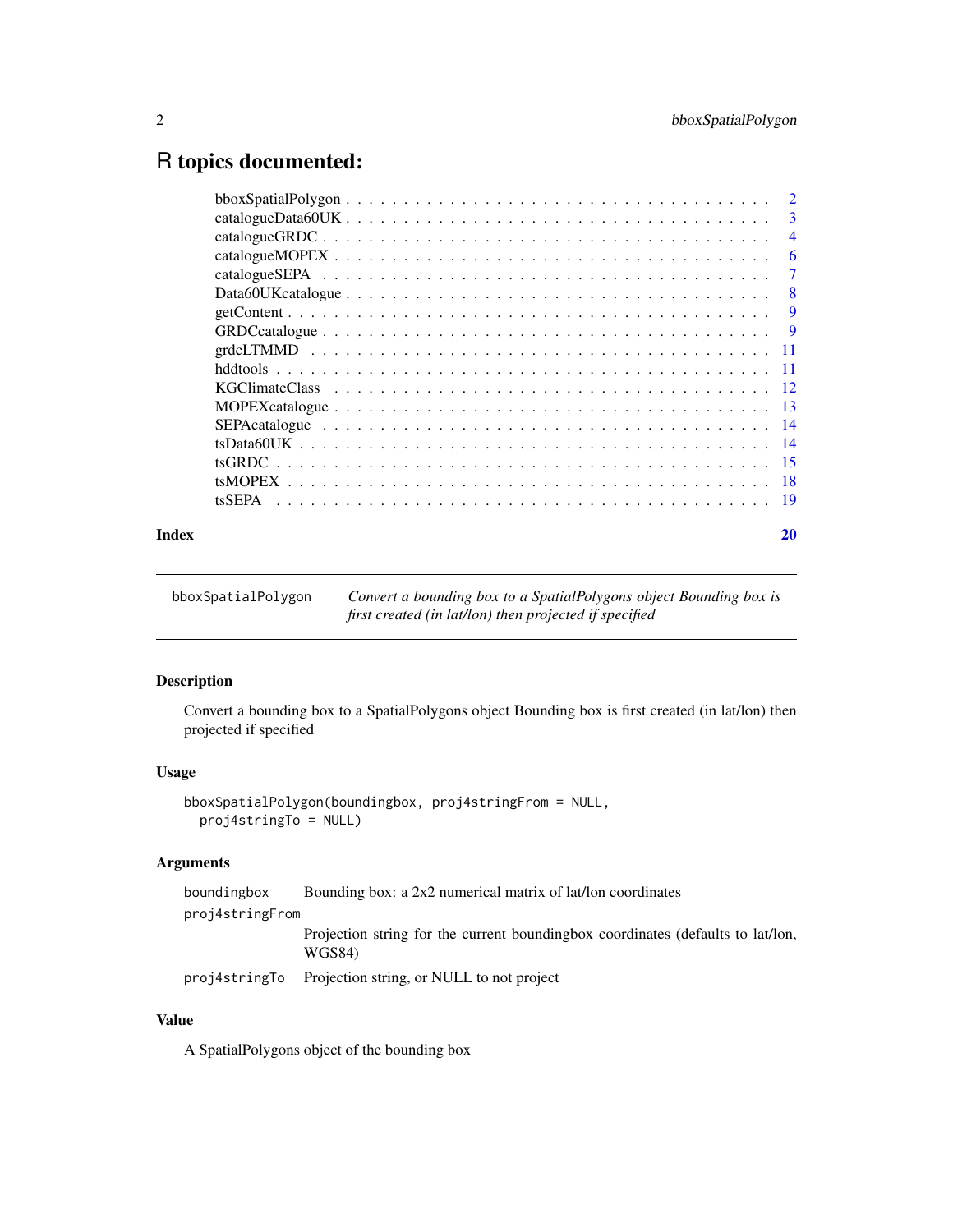# <span id="page-1-0"></span>R topics documented:

|       | $\overline{3}$ |
|-------|----------------|
|       | $\overline{4}$ |
|       | -6             |
|       | -7             |
|       | - 8            |
|       |                |
|       |                |
|       |                |
|       |                |
|       |                |
|       |                |
|       |                |
|       |                |
|       |                |
|       |                |
|       |                |
| Index | 20             |

bboxSpatialPolygon *Convert a bounding box to a SpatialPolygons object Bounding box is first created (in lat/lon) then projected if specified*

# Description

Convert a bounding box to a SpatialPolygons object Bounding box is first created (in lat/lon) then projected if specified

# Usage

```
bboxSpatialPolygon(boundingbox, proj4stringFrom = NULL,
 proj4stringTo = NULL)
```
# Arguments

|                 | boundingbox | Bounding box: a 2x2 numerical matrix of lat/lon coordinates                                |  |
|-----------------|-------------|--------------------------------------------------------------------------------------------|--|
| proj4stringFrom |             |                                                                                            |  |
|                 |             | Projection string for the current bounding box coordinates (defaults to lat/lon,<br>WGS84) |  |
|                 |             | projection of NULL to not project                                                          |  |

# Value

A SpatialPolygons object of the bounding box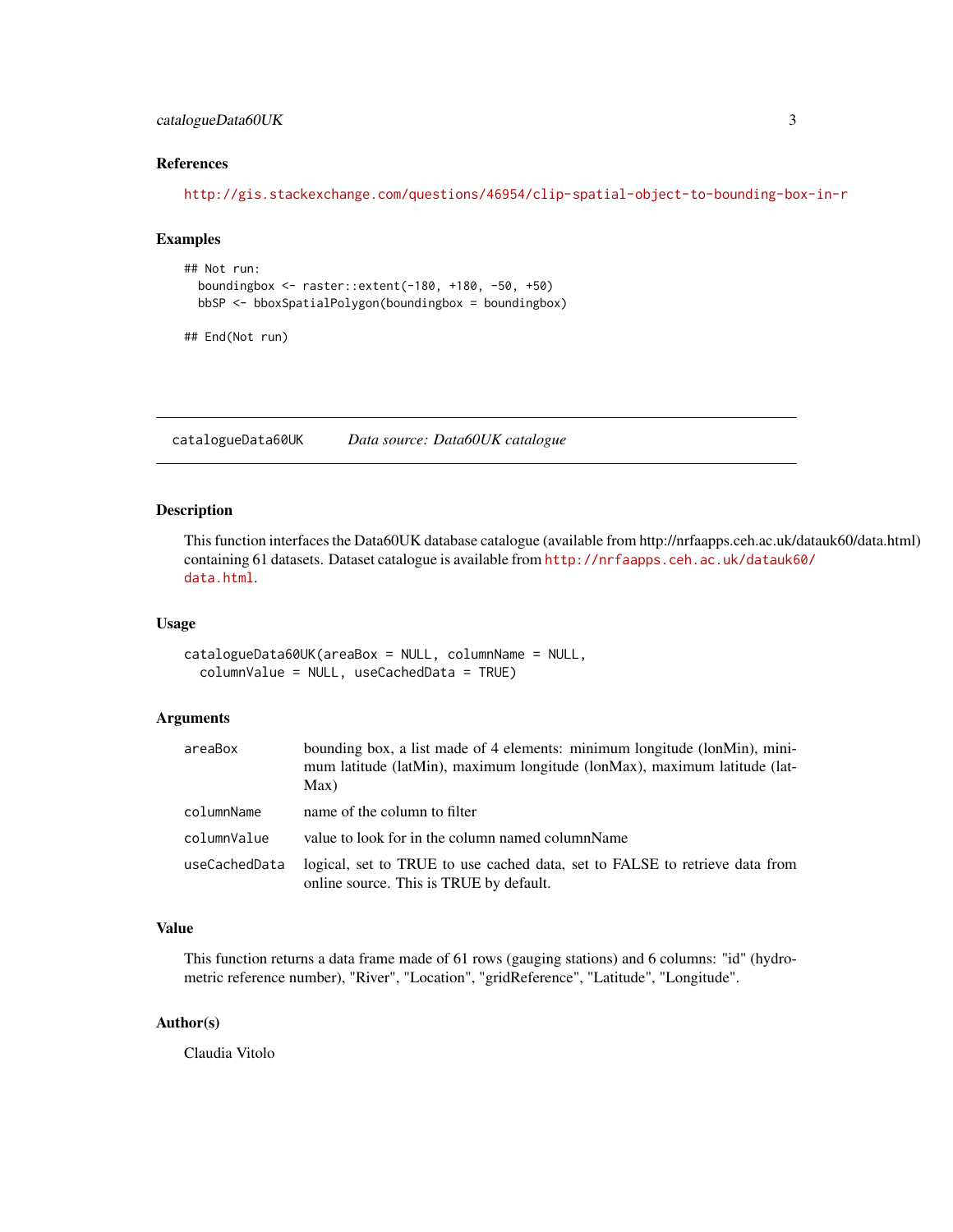# <span id="page-2-0"></span>catalogueData60UK 3

# References

<http://gis.stackexchange.com/questions/46954/clip-spatial-object-to-bounding-box-in-r>

### Examples

```
## Not run:
 boundingbox <- raster::extent(-180, +180, -50, +50)
 bbSP <- bboxSpatialPolygon(boundingbox = boundingbox)
```
## End(Not run)

catalogueData60UK *Data source: Data60UK catalogue*

#### Description

This function interfaces the Data60UK database catalogue (available from http://nrfaapps.ceh.ac.uk/datauk60/data.html) containing 61 datasets. Dataset catalogue is available from [http://nrfaapps.ceh.ac.uk/datauk6](http://nrfaapps.ceh.ac.uk/datauk60/data.html)0/ [data.html](http://nrfaapps.ceh.ac.uk/datauk60/data.html).

# Usage

```
catalogueData60UK(areaBox = NULL, columnName = NULL,
  columnValue = NULL, useCachedData = TRUE)
```
# Arguments

| areaBox       | bounding box, a list made of 4 elements: minimum longitude (lonMin), mini-<br>mum latitude (latMin), maximum longitude (lonMax), maximum latitude (lat-<br>Max) |
|---------------|-----------------------------------------------------------------------------------------------------------------------------------------------------------------|
| columnName    | name of the column to filter                                                                                                                                    |
| columnValue   | value to look for in the column named columnName                                                                                                                |
| useCachedData | logical, set to TRUE to use cached data, set to FALSE to retrieve data from<br>online source. This is TRUE by default.                                          |

#### Value

This function returns a data frame made of 61 rows (gauging stations) and 6 columns: "id" (hydrometric reference number), "River", "Location", "gridReference", "Latitude", "Longitude".

#### Author(s)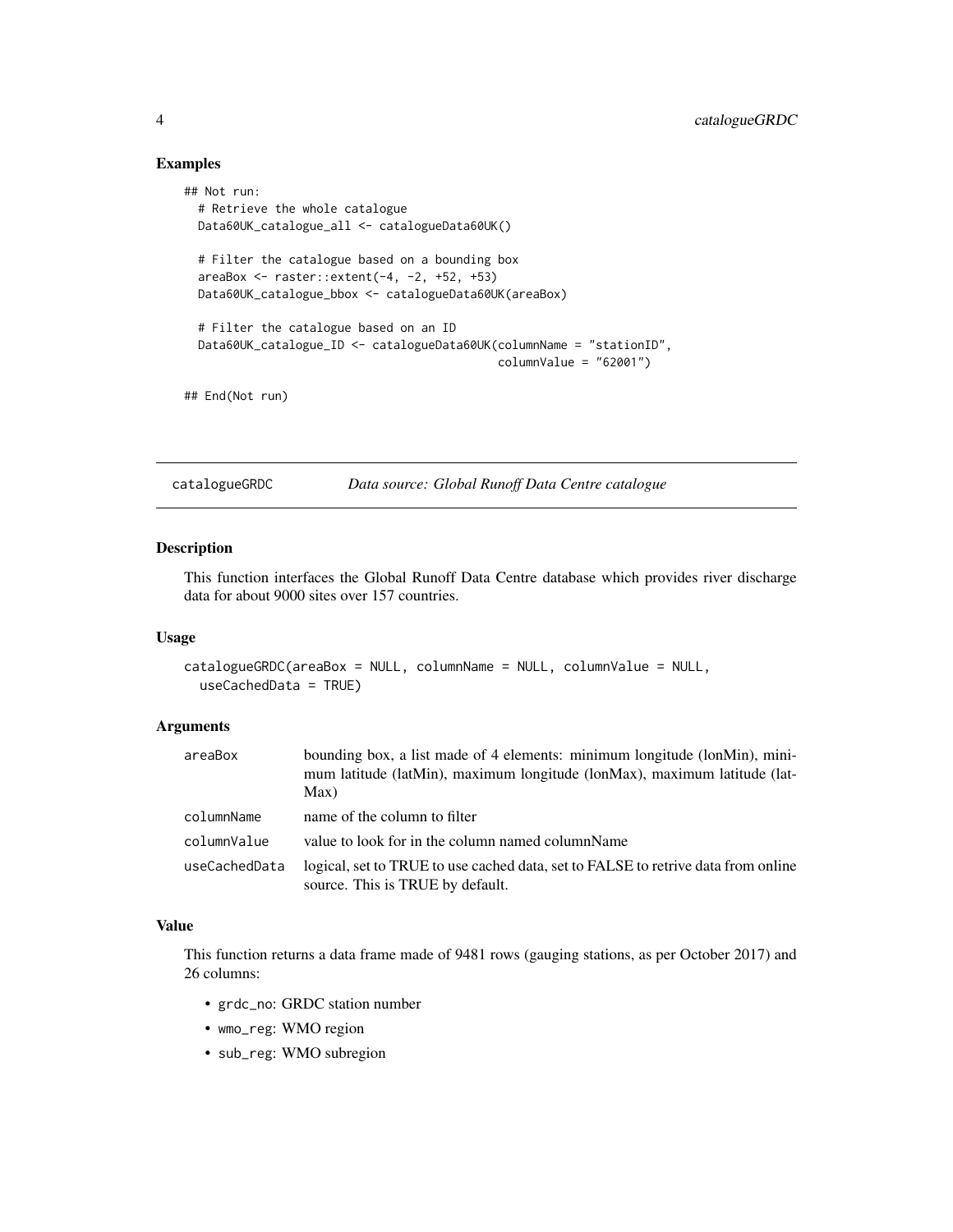# Examples

```
## Not run:
 # Retrieve the whole catalogue
 Data60UK_catalogue_all <- catalogueData60UK()
 # Filter the catalogue based on a bounding box
 areaBox <- raster::extent(-4, -2, +52, +53)
 Data60UK_catalogue_bbox <- catalogueData60UK(areaBox)
 # Filter the catalogue based on an ID
 Data60UK_catalogue_ID <- catalogueData60UK(columnName = "stationID",
                                             columnValue = "62001")
## End(Not run)
```
catalogueGRDC *Data source: Global Runoff Data Centre catalogue*

# Description

This function interfaces the Global Runoff Data Centre database which provides river discharge data for about 9000 sites over 157 countries.

# Usage

```
catalogueGRDC(areaBox = NULL, columnName = NULL, columnValue = NULL,
  useCachedData = TRUE)
```
# Arguments

| areaBox       | bounding box, a list made of 4 elements: minimum longitude (lonMin), mini-<br>mum latitude (latMin), maximum longitude (lonMax), maximum latitude (lat-<br>Max) |
|---------------|-----------------------------------------------------------------------------------------------------------------------------------------------------------------|
| columnName    | name of the column to filter                                                                                                                                    |
| columnValue   | value to look for in the column named columnName                                                                                                                |
| useCachedData | logical, set to TRUE to use cached data, set to FALSE to retrive data from online<br>source. This is TRUE by default.                                           |

#### Value

This function returns a data frame made of 9481 rows (gauging stations, as per October 2017) and 26 columns:

- grdc\_no: GRDC station number
- wmo\_reg: WMO region
- sub\_reg: WMO subregion

<span id="page-3-0"></span>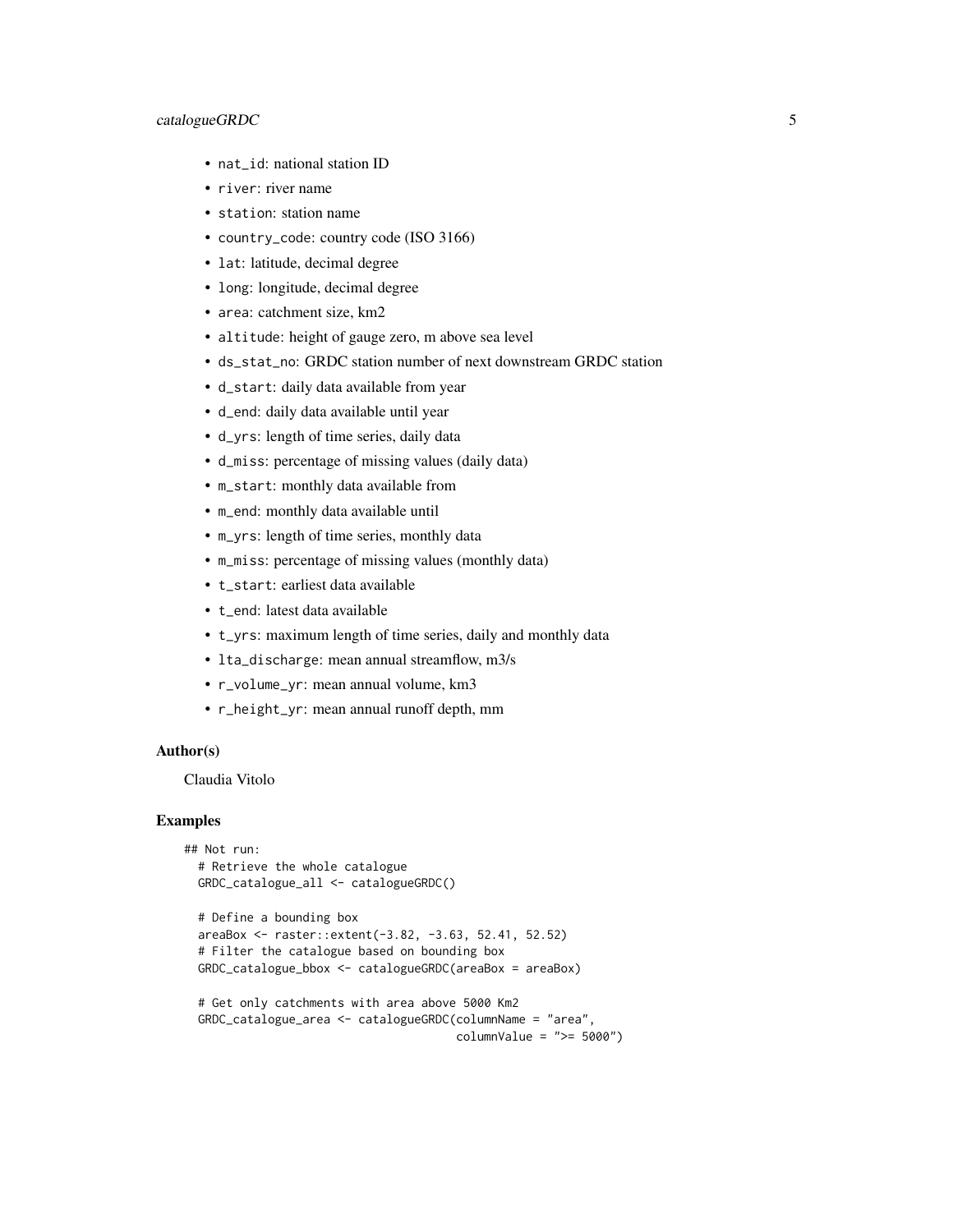### catalogueGRDC 5

- nat\_id: national station ID
- river: river name
- station: station name
- country\_code: country code (ISO 3166)
- lat: latitude, decimal degree
- long: longitude, decimal degree
- area: catchment size, km2
- altitude: height of gauge zero, m above sea level
- ds\_stat\_no: GRDC station number of next downstream GRDC station
- d\_start: daily data available from year
- d\_end: daily data available until year
- d\_yrs: length of time series, daily data
- d\_miss: percentage of missing values (daily data)
- m\_start: monthly data available from
- m\_end: monthly data available until
- m\_yrs: length of time series, monthly data
- m\_miss: percentage of missing values (monthly data)
- t\_start: earliest data available
- t\_end: latest data available
- t\_yrs: maximum length of time series, daily and monthly data
- lta\_discharge: mean annual streamflow, m3/s
- r\_volume\_yr: mean annual volume, km3
- r\_height\_yr: mean annual runoff depth, mm

#### Author(s)

Claudia Vitolo

```
## Not run:
 # Retrieve the whole catalogue
 GRDC_catalogue_all <- catalogueGRDC()
```

```
# Define a bounding box
areaBox <- raster::extent(-3.82, -3.63, 52.41, 52.52)
# Filter the catalogue based on bounding box
GRDC_catalogue_bbox <- catalogueGRDC(areaBox = areaBox)
```

```
# Get only catchments with area above 5000 Km2
GRDC_catalogue_area <- catalogueGRDC(columnName = "area",
                                    columnValue = ">= 5000")
```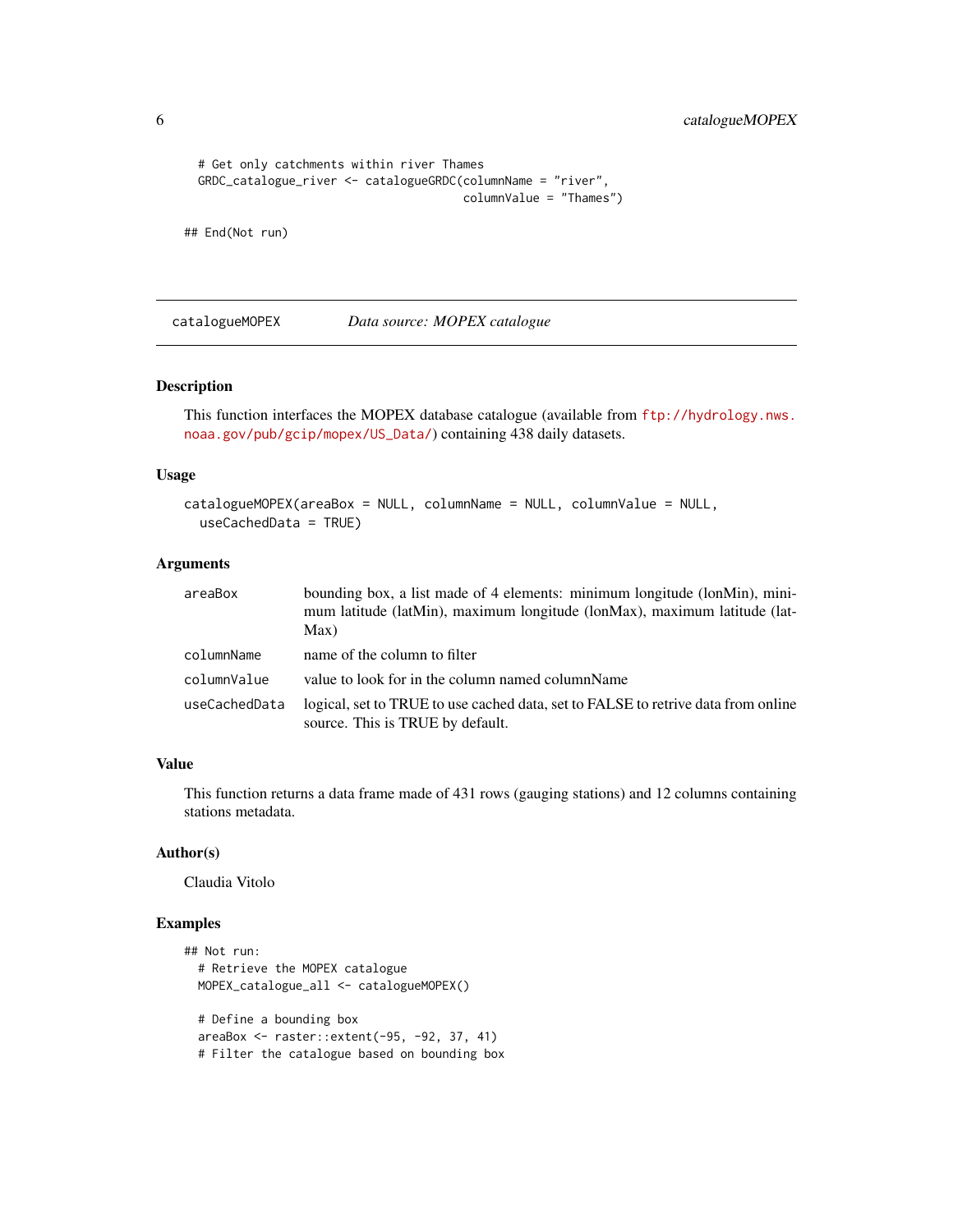```
6 catalogueMOPEX
```

```
# Get only catchments within river Thames
GRDC_catalogue_river <- catalogueGRDC(columnName = "river",
                                      columnValue = "Thames")
```
## End(Not run)

catalogueMOPEX *Data source: MOPEX catalogue*

# Description

This function interfaces the MOPEX database catalogue (available from [ftp://hydrology.nws.](ftp://hydrology.nws.noaa.gov/pub/gcip/mopex/US_Data/) [noaa.gov/pub/gcip/mopex/US\\_Data/](ftp://hydrology.nws.noaa.gov/pub/gcip/mopex/US_Data/)) containing 438 daily datasets.

#### Usage

```
catalogueMOPEX(areaBox = NULL, columnName = NULL, columnValue = NULL,
 useCachedData = TRUE)
```
# Arguments

| areaBox       | bounding box, a list made of 4 elements: minimum longitude (lonMin), mini-<br>mum latitude (latMin), maximum longitude (lonMax), maximum latitude (lat-<br>Max) |
|---------------|-----------------------------------------------------------------------------------------------------------------------------------------------------------------|
| columnName    | name of the column to filter                                                                                                                                    |
| columnValue   | value to look for in the column named columnName                                                                                                                |
| useCachedData | logical, set to TRUE to use cached data, set to FALSE to retrive data from online<br>source. This is TRUE by default.                                           |

# Value

This function returns a data frame made of 431 rows (gauging stations) and 12 columns containing stations metadata.

### Author(s)

Claudia Vitolo

```
## Not run:
 # Retrieve the MOPEX catalogue
 MOPEX_catalogue_all <- catalogueMOPEX()
 # Define a bounding box
 areaBox <- raster::extent(-95, -92, 37, 41)
 # Filter the catalogue based on bounding box
```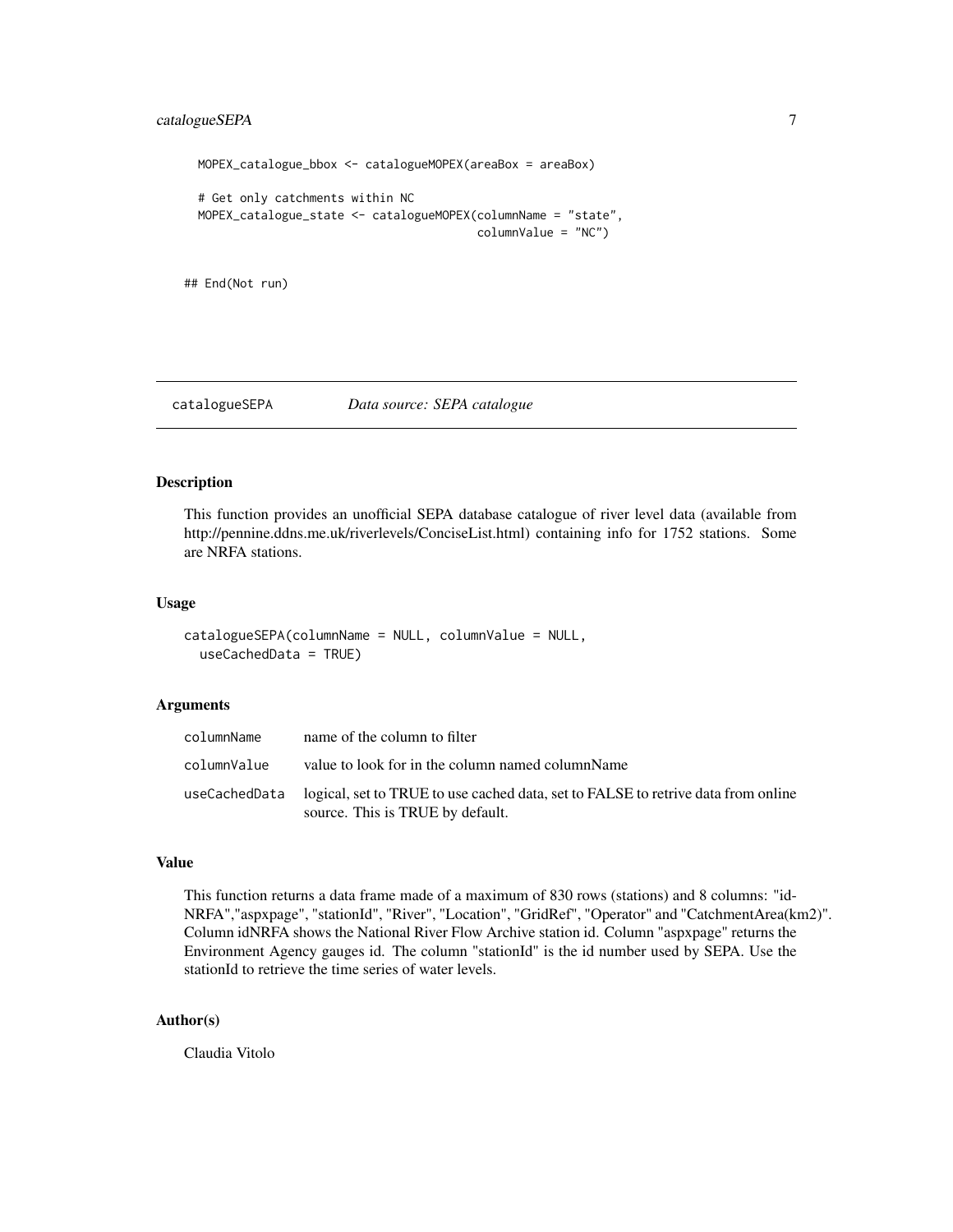```
MOPEX_catalogue_bbox <- catalogueMOPEX(areaBox = areaBox)
# Get only catchments within NC
MOPEX_catalogue_state <- catalogueMOPEX(columnName = "state",
                                        columnValue = "NC")
```
## End(Not run)

catalogueSEPA *Data source: SEPA catalogue*

#### Description

This function provides an unofficial SEPA database catalogue of river level data (available from http://pennine.ddns.me.uk/riverlevels/ConciseList.html) containing info for 1752 stations. Some are NRFA stations.

#### Usage

```
catalogueSEPA(columnName = NULL, columnValue = NULL,
  useCachedData = TRUE)
```
#### **Arguments**

| columnName  | name of the column to filter                                                                                                        |
|-------------|-------------------------------------------------------------------------------------------------------------------------------------|
| columnValue | value to look for in the column named columnName                                                                                    |
|             | useCachedData logical, set to TRUE to use cached data, set to FALSE to retrive data from online<br>source. This is TRUE by default. |

# Value

This function returns a data frame made of a maximum of 830 rows (stations) and 8 columns: "id-NRFA","aspxpage", "stationId", "River", "Location", "GridRef", "Operator" and "CatchmentArea(km2)". Column idNRFA shows the National River Flow Archive station id. Column "aspxpage" returns the Environment Agency gauges id. The column "stationId" is the id number used by SEPA. Use the stationId to retrieve the time series of water levels.

# Author(s)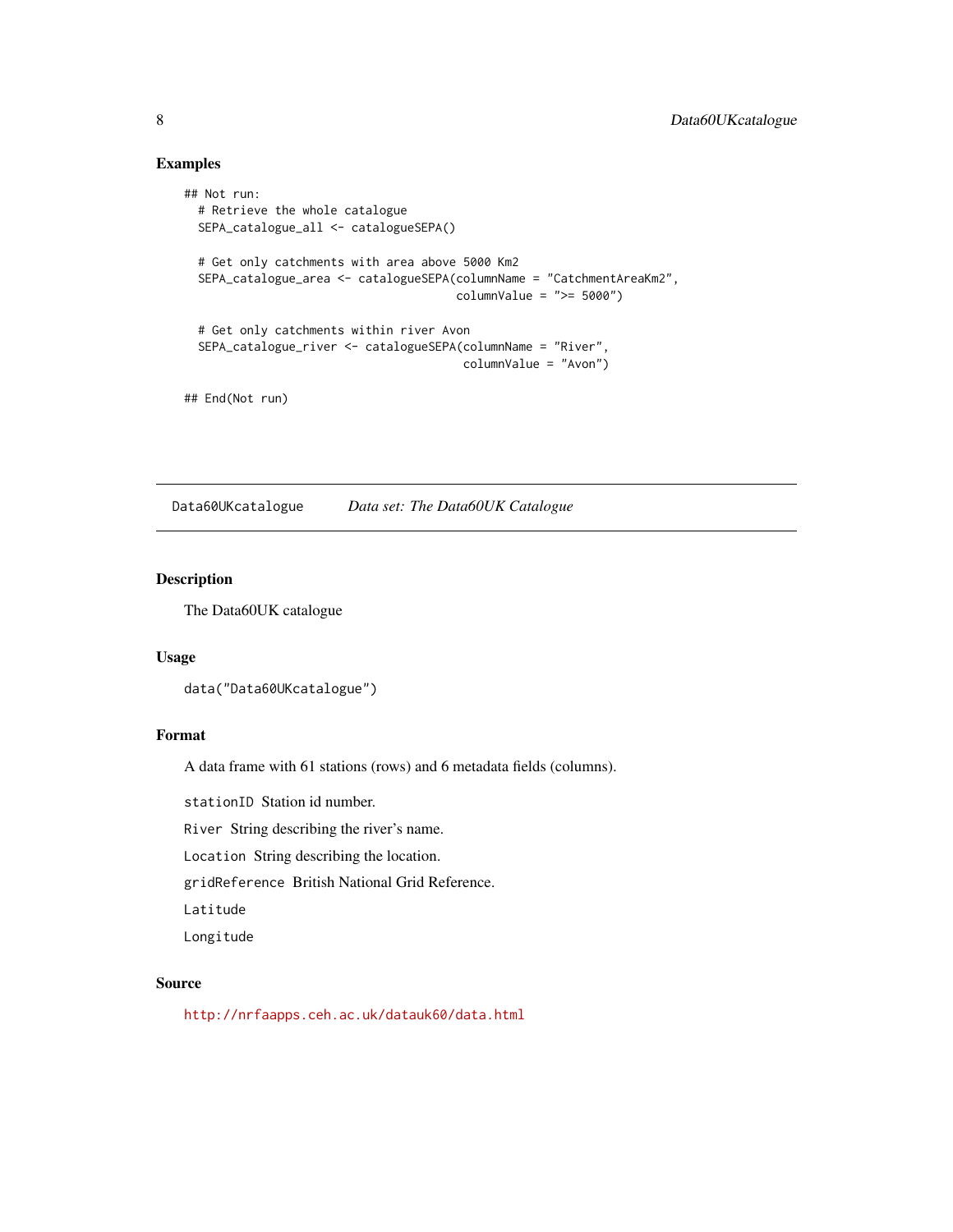# Examples

```
## Not run:
 # Retrieve the whole catalogue
 SEPA_catalogue_all <- catalogueSEPA()
 # Get only catchments with area above 5000 Km2
 SEPA_catalogue_area <- catalogueSEPA(columnName = "CatchmentAreaKm2",
                                       columnValue = ">= 5000")
 # Get only catchments within river Avon
 SEPA_catalogue_river <- catalogueSEPA(columnName = "River",
                                        columnValue = "Avon")
```
## End(Not run)

Data60UKcatalogue *Data set: The Data60UK Catalogue*

#### Description

The Data60UK catalogue

### Usage

```
data("Data60UKcatalogue")
```
### Format

A data frame with 61 stations (rows) and 6 metadata fields (columns).

stationID Station id number.

River String describing the river's name.

Location String describing the location.

gridReference British National Grid Reference.

Latitude

Longitude

# Source

<http://nrfaapps.ceh.ac.uk/datauk60/data.html>

<span id="page-7-0"></span>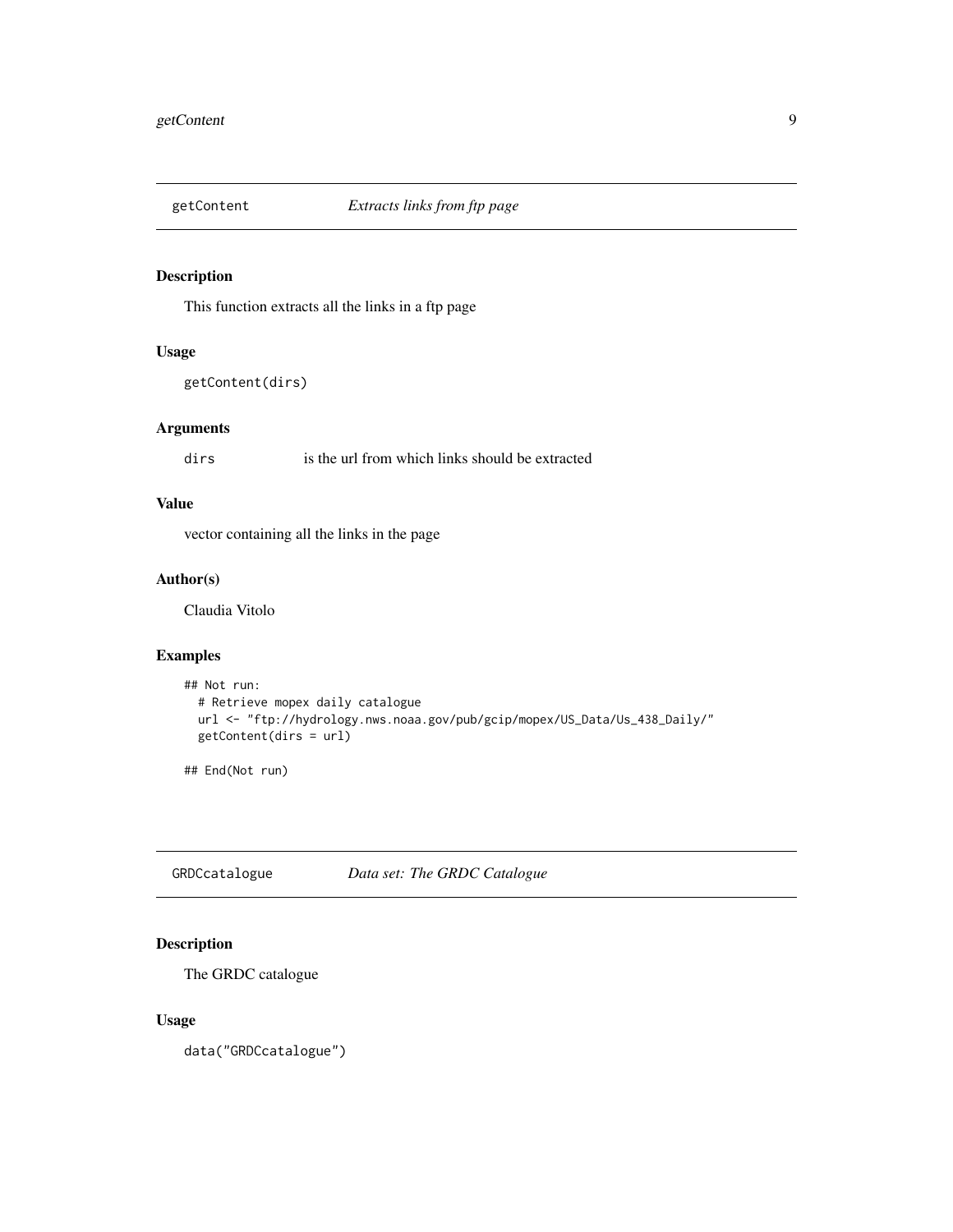<span id="page-8-0"></span>

This function extracts all the links in a ftp page

# Usage

```
getContent(dirs)
```
# Arguments

dirs is the url from which links should be extracted

# Value

vector containing all the links in the page

# Author(s)

Claudia Vitolo

# Examples

```
## Not run:
  # Retrieve mopex daily catalogue
  url <- "ftp://hydrology.nws.noaa.gov/pub/gcip/mopex/US_Data/Us_438_Daily/"
  getContent(dirs = url)
```
## End(Not run)

GRDCcatalogue *Data set: The GRDC Catalogue*

# Description

The GRDC catalogue

#### Usage

data("GRDCcatalogue")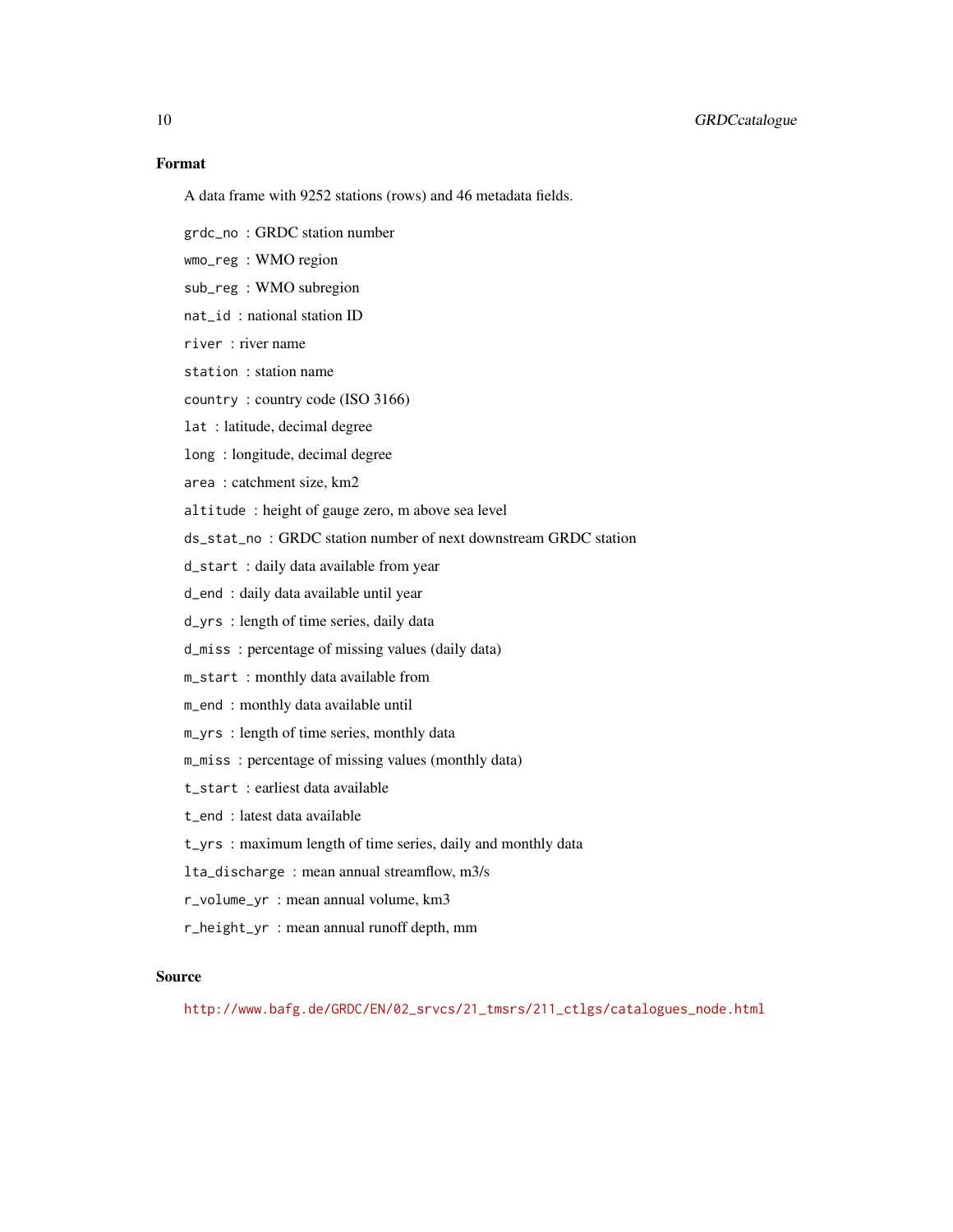# Format

A data frame with 9252 stations (rows) and 46 metadata fields.

- grdc\_no : GRDC station number
- wmo\_reg : WMO region
- sub\_reg : WMO subregion
- nat\_id : national station ID
- river : river name
- station : station name
- country : country code (ISO 3166)
- lat : latitude, decimal degree
- long : longitude, decimal degree
- area : catchment size, km2
- altitude : height of gauge zero, m above sea level
- ds\_stat\_no : GRDC station number of next downstream GRDC station
- d\_start : daily data available from year
- d\_end : daily data available until year
- d\_yrs : length of time series, daily data
- d\_miss : percentage of missing values (daily data)
- m\_start : monthly data available from
- m\_end : monthly data available until
- m\_yrs : length of time series, monthly data
- m\_miss : percentage of missing values (monthly data)
- t\_start : earliest data available
- t\_end : latest data available
- t\_yrs : maximum length of time series, daily and monthly data
- lta\_discharge : mean annual streamflow, m3/s
- r\_volume\_yr : mean annual volume, km3
- r\_height\_yr : mean annual runoff depth, mm

#### Source

[http://www.bafg.de/GRDC/EN/02\\_srvcs/21\\_tmsrs/211\\_ctlgs/catalogues\\_node.html](http://www.bafg.de/GRDC/EN/02_srvcs/21_tmsrs/211_ctlgs/catalogues_node.html)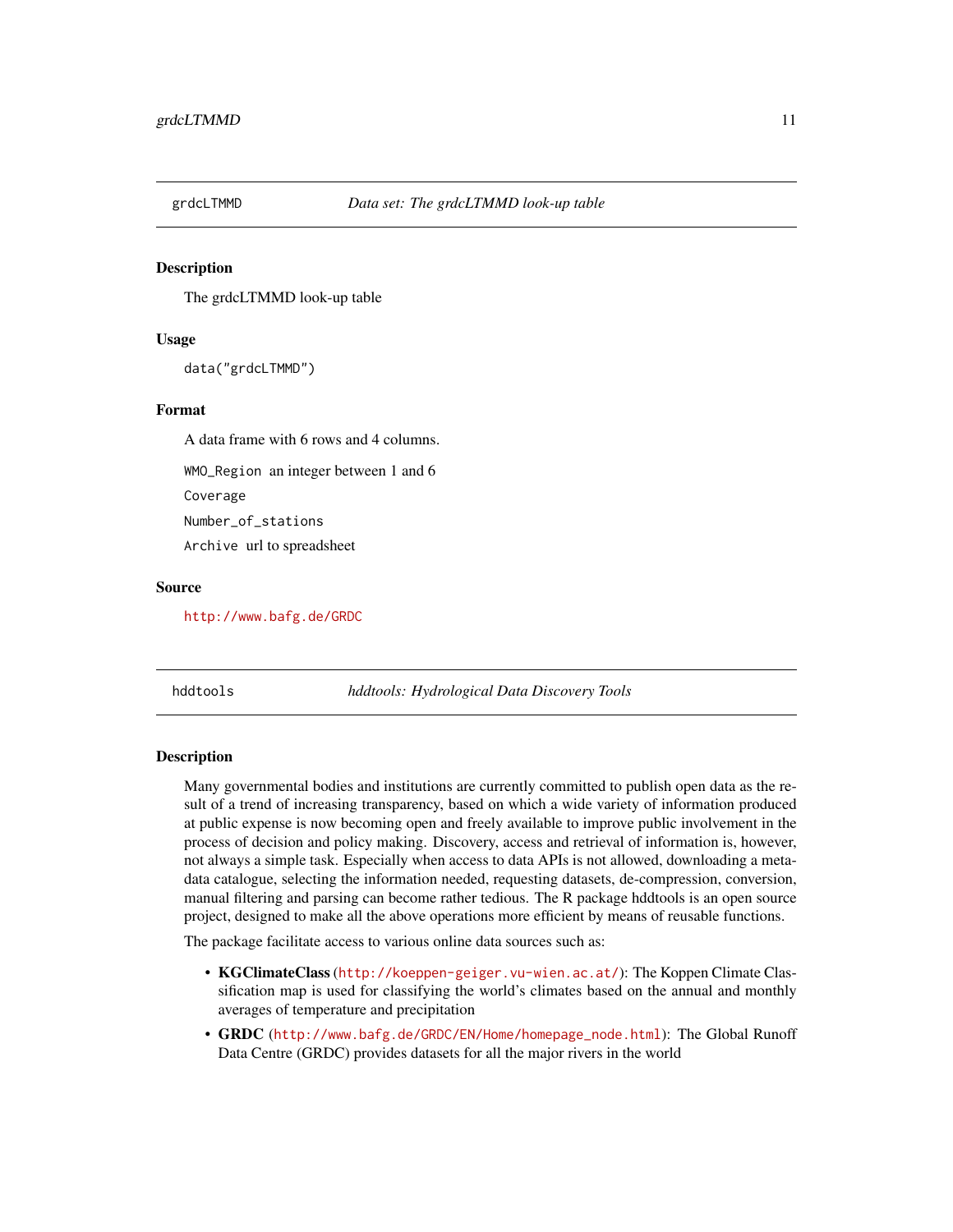<span id="page-10-0"></span>

The grdcLTMMD look-up table

#### Usage

data("grdcLTMMD")

#### Format

A data frame with 6 rows and 4 columns.

WMO\_Region an integer between 1 and 6

Coverage

Number\_of\_stations

Archive url to spreadsheet

#### Source

<http://www.bafg.de/GRDC>

hddtools *hddtools: Hydrological Data Discovery Tools*

#### Description

Many governmental bodies and institutions are currently committed to publish open data as the result of a trend of increasing transparency, based on which a wide variety of information produced at public expense is now becoming open and freely available to improve public involvement in the process of decision and policy making. Discovery, access and retrieval of information is, however, not always a simple task. Especially when access to data APIs is not allowed, downloading a metadata catalogue, selecting the information needed, requesting datasets, de-compression, conversion, manual filtering and parsing can become rather tedious. The R package hddtools is an open source project, designed to make all the above operations more efficient by means of reusable functions.

The package facilitate access to various online data sources such as:

- KGClimateClass (<http://koeppen-geiger.vu-wien.ac.at/>): The Koppen Climate Classification map is used for classifying the world's climates based on the annual and monthly averages of temperature and precipitation
- GRDC ([http://www.bafg.de/GRDC/EN/Home/homepage\\_node.html](http://www.bafg.de/GRDC/EN/Home/homepage_node.html)): The Global Runoff Data Centre (GRDC) provides datasets for all the major rivers in the world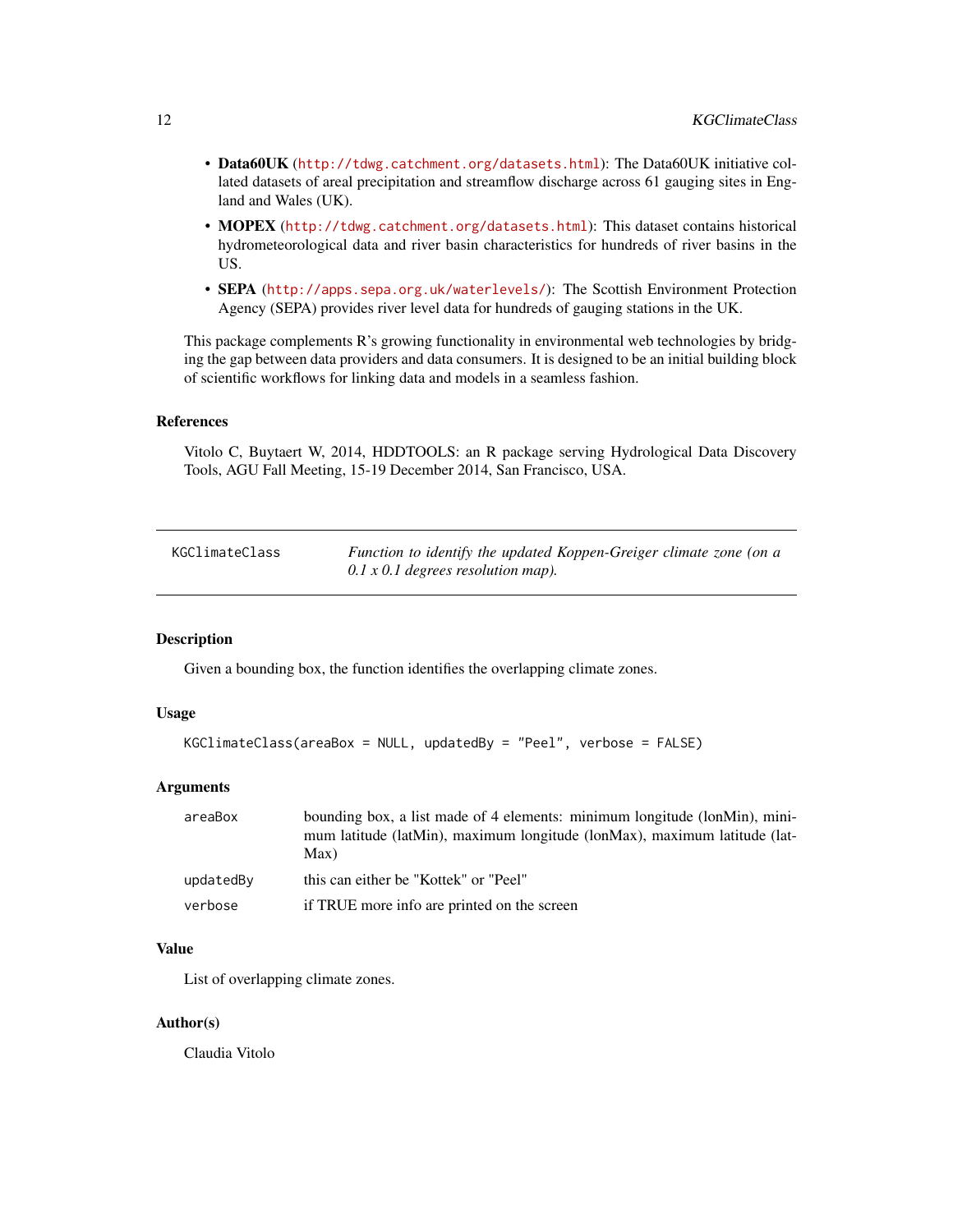- <span id="page-11-0"></span>• Data60UK (<http://tdwg.catchment.org/datasets.html>): The Data60UK initiative collated datasets of areal precipitation and streamflow discharge across 61 gauging sites in England and Wales (UK).
- MOPEX (<http://tdwg.catchment.org/datasets.html>): This dataset contains historical hydrometeorological data and river basin characteristics for hundreds of river basins in the US.
- SEPA (<http://apps.sepa.org.uk/waterlevels/>): The Scottish Environment Protection Agency (SEPA) provides river level data for hundreds of gauging stations in the UK.

This package complements R's growing functionality in environmental web technologies by bridging the gap between data providers and data consumers. It is designed to be an initial building block of scientific workflows for linking data and models in a seamless fashion.

#### References

Vitolo C, Buytaert W, 2014, HDDTOOLS: an R package serving Hydrological Data Discovery Tools, AGU Fall Meeting, 15-19 December 2014, San Francisco, USA.

| KGClimateClass | Function to identify the updated Koppen-Greiger climate zone (on a |
|----------------|--------------------------------------------------------------------|
|                | $0.1 x 0.1$ degrees resolution map).                               |

#### Description

Given a bounding box, the function identifies the overlapping climate zones.

#### Usage

```
KGClimateClass(areaBox = NULL, updatedBy = "Peel", verbose = FALSE)
```
#### Arguments

| areaBox   | bounding box, a list made of 4 elements: minimum longitude (lonMin), mini-<br>mum latitude (latMin), maximum longitude (lonMax), maximum latitude (lat-<br>Max) |
|-----------|-----------------------------------------------------------------------------------------------------------------------------------------------------------------|
| updatedBy | this can either be "Kottek" or "Peel"                                                                                                                           |
| verbose   | if TRUE more info are printed on the screen                                                                                                                     |

# Value

List of overlapping climate zones.

#### Author(s)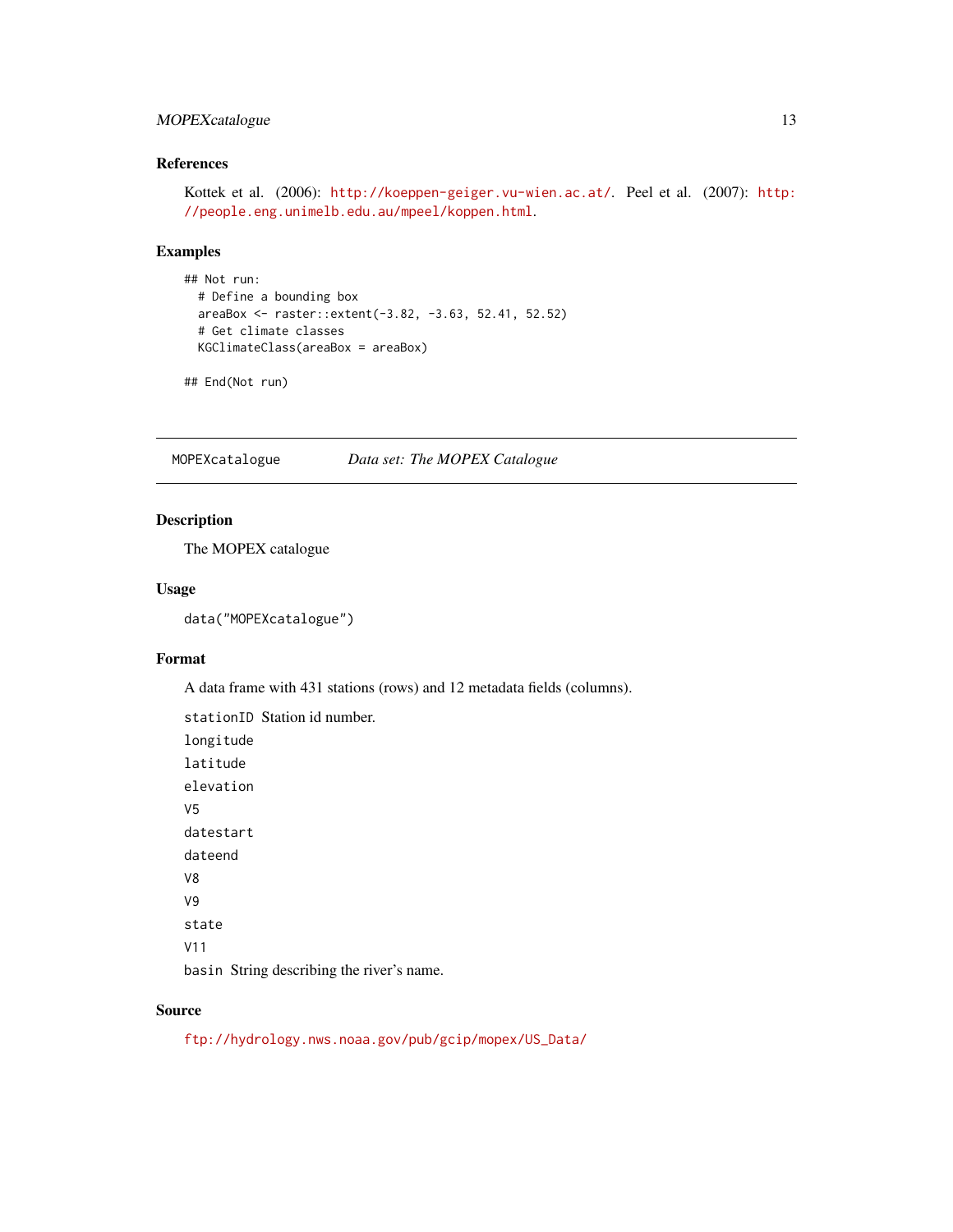# <span id="page-12-0"></span>MOPEXcatalogue 13

# References

```
Kottek et al. (2006): http://koeppen-geiger.vu-wien.ac.at/. Peel et al. (2007): http:
//people.eng.unimelb.edu.au/mpeel/koppen.html.
```
# Examples

```
## Not run:
  # Define a bounding box
  areaBox <- raster::extent(-3.82, -3.63, 52.41, 52.52)
  # Get climate classes
  KGClimateClass(areaBox = areaBox)
```
## End(Not run)

MOPEXcatalogue *Data set: The MOPEX Catalogue*

#### Description

The MOPEX catalogue

#### Usage

data("MOPEXcatalogue")

# Format

A data frame with 431 stations (rows) and 12 metadata fields (columns).

stationID Station id number. longitude latitude elevation V5 datestart dateend V8 V9 state V11 basin String describing the river's name.

#### Source

[ftp://hydrology.nws.noaa.gov/pub/gcip/mopex/US\\_Data/](ftp://hydrology.nws.noaa.gov/pub/gcip/mopex/US_Data/)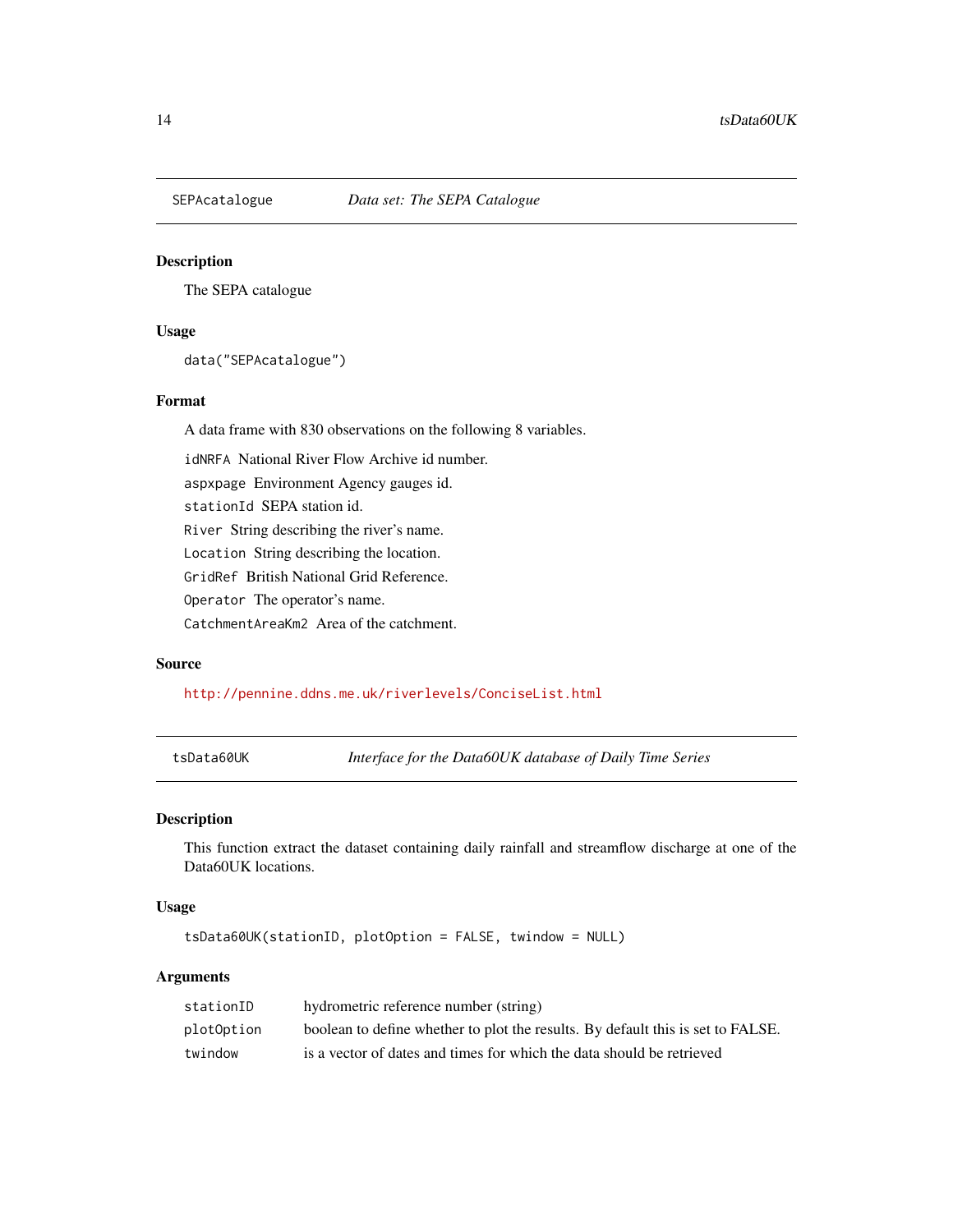<span id="page-13-0"></span>

The SEPA catalogue

#### Usage

data("SEPAcatalogue")

#### Format

A data frame with 830 observations on the following 8 variables.

idNRFA National River Flow Archive id number.

aspxpage Environment Agency gauges id.

stationId SEPA station id.

River String describing the river's name.

Location String describing the location.

GridRef British National Grid Reference.

Operator The operator's name.

CatchmentAreaKm2 Area of the catchment.

#### Source

<http://pennine.ddns.me.uk/riverlevels/ConciseList.html>

tsData60UK *Interface for the Data60UK database of Daily Time Series*

#### Description

This function extract the dataset containing daily rainfall and streamflow discharge at one of the Data60UK locations.

#### Usage

tsData60UK(stationID, plotOption = FALSE, twindow = NULL)

# Arguments

| stationID  | hydrometric reference number (string)                                           |
|------------|---------------------------------------------------------------------------------|
| plotOption | boolean to define whether to plot the results. By default this is set to FALSE. |
| twindow    | is a vector of dates and times for which the data should be retrieved           |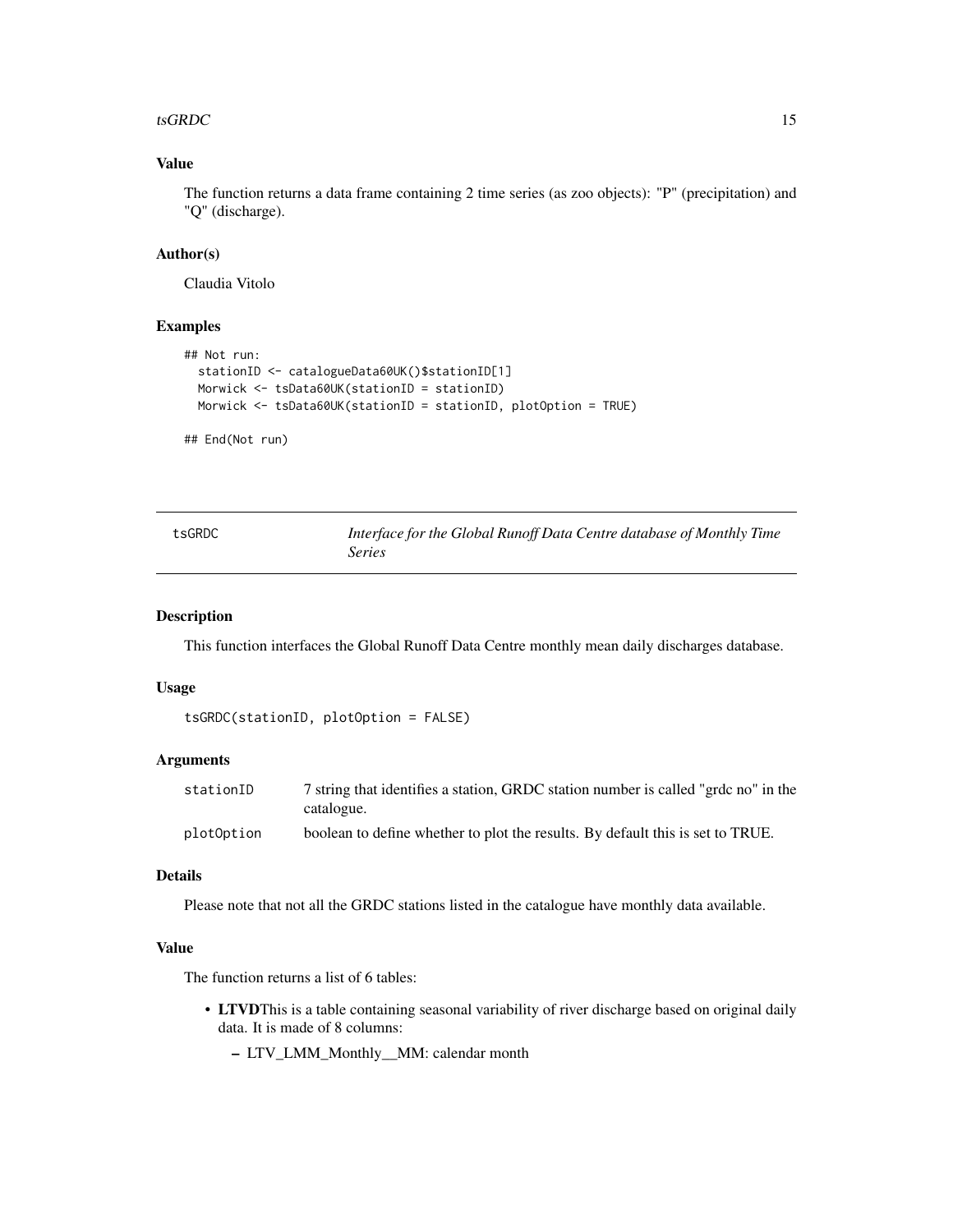#### <span id="page-14-0"></span>tsGRDC  $\qquad \qquad$  15

# Value

The function returns a data frame containing 2 time series (as zoo objects): "P" (precipitation) and "Q" (discharge).

#### Author(s)

Claudia Vitolo

# Examples

```
## Not run:
  stationID <- catalogueData60UK()$stationID[1]
  Morwick <- tsData60UK(stationID = stationID)
  Morwick <- tsData60UK(stationID = stationID, plotOption = TRUE)
## End(Not run)
```

| tsGRDC | Interface for the Global Runoff Data Centre database of Monthly Time |
|--------|----------------------------------------------------------------------|
|        | <i>Series</i>                                                        |

# Description

This function interfaces the Global Runoff Data Centre monthly mean daily discharges database.

#### Usage

```
tsGRDC(stationID, plotOption = FALSE)
```
# Arguments

| stationID  | 7 string that identifies a station, GRDC station number is called "grdc no" in the<br>catalogue. |
|------------|--------------------------------------------------------------------------------------------------|
|            |                                                                                                  |
| plotOption | boolean to define whether to plot the results. By default this is set to TRUE.                   |

#### Details

Please note that not all the GRDC stations listed in the catalogue have monthly data available.

### Value

The function returns a list of 6 tables:

- LTVDThis is a table containing seasonal variability of river discharge based on original daily data. It is made of 8 columns:
	- LTV\_LMM\_Monthly\_\_MM: calendar month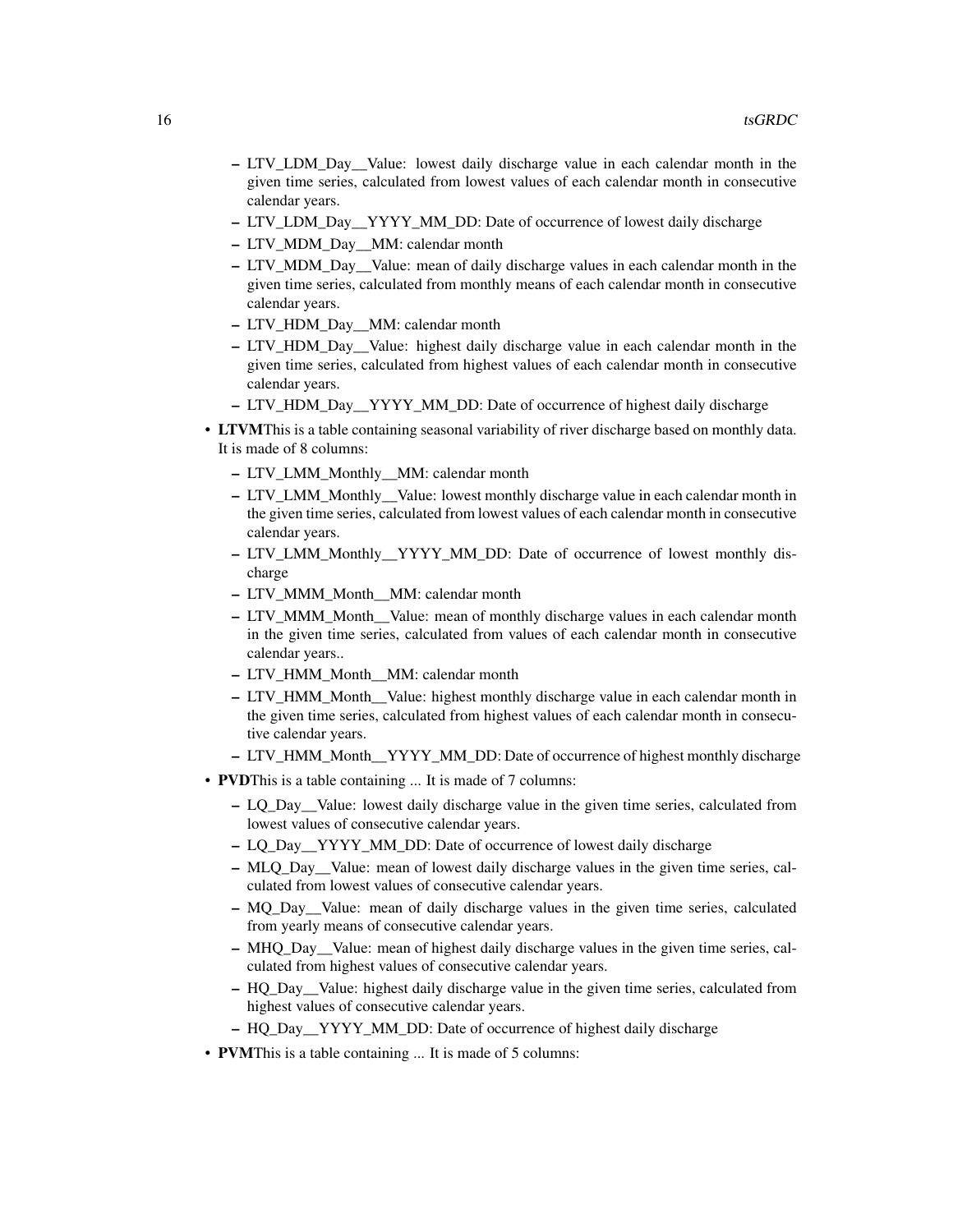- LTV\_LDM\_Day\_\_Value: lowest daily discharge value in each calendar month in the given time series, calculated from lowest values of each calendar month in consecutive calendar years.
- LTV\_LDM\_Day\_\_YYYY\_MM\_DD: Date of occurrence of lowest daily discharge
- LTV\_MDM\_Day\_\_MM: calendar month
- LTV\_MDM\_Day\_\_Value: mean of daily discharge values in each calendar month in the given time series, calculated from monthly means of each calendar month in consecutive calendar years.
- LTV\_HDM\_Day\_\_MM: calendar month
- LTV\_HDM\_Day\_\_Value: highest daily discharge value in each calendar month in the given time series, calculated from highest values of each calendar month in consecutive calendar years.
- LTV\_HDM\_Day\_\_YYYY\_MM\_DD: Date of occurrence of highest daily discharge
- LTVMThis is a table containing seasonal variability of river discharge based on monthly data. It is made of 8 columns:
	- LTV\_LMM\_Monthly\_\_MM: calendar month
	- LTV\_LMM\_Monthly\_\_Value: lowest monthly discharge value in each calendar month in the given time series, calculated from lowest values of each calendar month in consecutive calendar years.
	- LTV\_LMM\_Monthly\_\_YYYY\_MM\_DD: Date of occurrence of lowest monthly discharge
	- LTV\_MMM\_Month\_\_MM: calendar month
	- LTV\_MMM\_Month\_\_Value: mean of monthly discharge values in each calendar month in the given time series, calculated from values of each calendar month in consecutive calendar years..
	- LTV\_HMM\_Month\_\_MM: calendar month
	- LTV\_HMM\_Month\_\_Value: highest monthly discharge value in each calendar month in the given time series, calculated from highest values of each calendar month in consecutive calendar years.
	- LTV\_HMM\_Month\_\_YYYY\_MM\_DD: Date of occurrence of highest monthly discharge
- PVDThis is a table containing ... It is made of 7 columns:
	- LQ\_Day\_\_Value: lowest daily discharge value in the given time series, calculated from lowest values of consecutive calendar years.
	- LQ\_Day\_\_YYYY\_MM\_DD: Date of occurrence of lowest daily discharge
	- MLQ\_Day\_\_Value: mean of lowest daily discharge values in the given time series, calculated from lowest values of consecutive calendar years.
	- MQ\_Day\_\_Value: mean of daily discharge values in the given time series, calculated from yearly means of consecutive calendar years.
	- MHQ\_Day\_\_Value: mean of highest daily discharge values in the given time series, calculated from highest values of consecutive calendar years.
	- HQ\_Day\_\_Value: highest daily discharge value in the given time series, calculated from highest values of consecutive calendar years.
	- HQ\_Day\_\_YYYY\_MM\_DD: Date of occurrence of highest daily discharge
- PVMThis is a table containing ... It is made of 5 columns: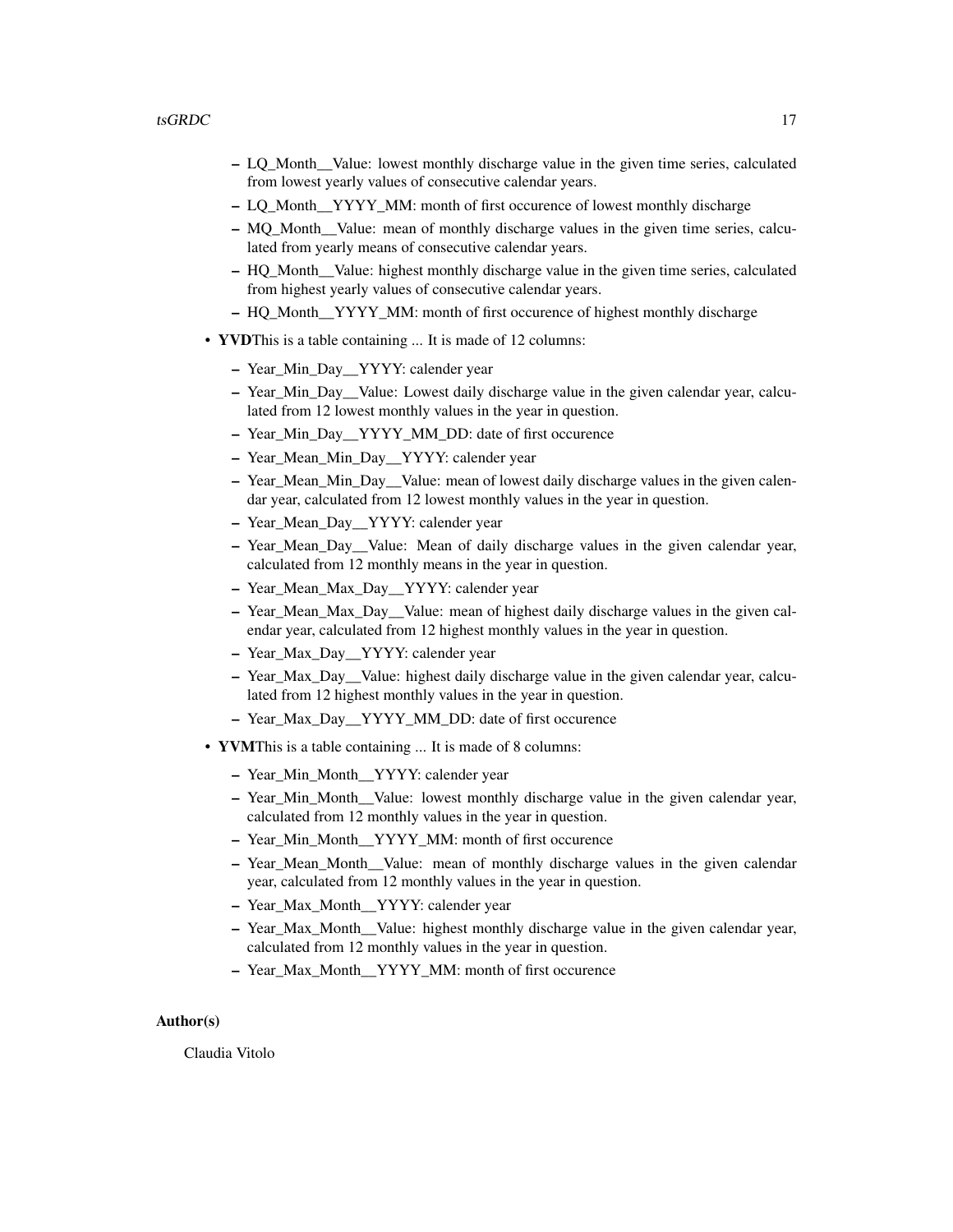- LQ\_Month\_\_Value: lowest monthly discharge value in the given time series, calculated from lowest yearly values of consecutive calendar years.
- LQ\_Month\_\_YYYY\_MM: month of first occurence of lowest monthly discharge
- MQ\_Month\_\_Value: mean of monthly discharge values in the given time series, calculated from yearly means of consecutive calendar years.
- HQ\_Month\_\_Value: highest monthly discharge value in the given time series, calculated from highest yearly values of consecutive calendar years.
- HQ\_Month\_\_YYYY\_MM: month of first occurence of highest monthly discharge
- YVDThis is a table containing ... It is made of 12 columns:
	- Year\_Min\_Day\_\_YYYY: calender year
	- Year\_Min\_Day\_\_Value: Lowest daily discharge value in the given calendar year, calculated from 12 lowest monthly values in the year in question.
	- Year\_Min\_Day\_\_YYYY\_MM\_DD: date of first occurence
	- Year\_Mean\_Min\_Day\_\_YYYY: calender year
	- Year\_Mean\_Min\_Day\_\_Value: mean of lowest daily discharge values in the given calendar year, calculated from 12 lowest monthly values in the year in question.
	- Year\_Mean\_Day\_\_YYYY: calender year
	- Year\_Mean\_Day\_\_Value: Mean of daily discharge values in the given calendar year, calculated from 12 monthly means in the year in question.
	- Year\_Mean\_Max\_Day\_\_YYYY: calender year
	- Year\_Mean\_Max\_Day\_\_Value: mean of highest daily discharge values in the given calendar year, calculated from 12 highest monthly values in the year in question.
	- Year\_Max\_Day\_\_YYYY: calender year
	- Year\_Max\_Day\_\_Value: highest daily discharge value in the given calendar year, calculated from 12 highest monthly values in the year in question.
	- Year\_Max\_Day\_\_YYYY\_MM\_DD: date of first occurence
- YVMThis is a table containing ... It is made of 8 columns:
	- Year\_Min\_Month\_\_YYYY: calender year
	- Year\_Min\_Month\_\_Value: lowest monthly discharge value in the given calendar year, calculated from 12 monthly values in the year in question.
	- Year\_Min\_Month\_\_YYYY\_MM: month of first occurence
	- Year\_Mean\_Month\_\_Value: mean of monthly discharge values in the given calendar year, calculated from 12 monthly values in the year in question.
	- Year\_Max\_Month\_\_YYYY: calender year
	- Year\_Max\_Month\_\_Value: highest monthly discharge value in the given calendar year, calculated from 12 monthly values in the year in question.
	- Year\_Max\_Month\_\_YYYY\_MM: month of first occurence

#### Author(s)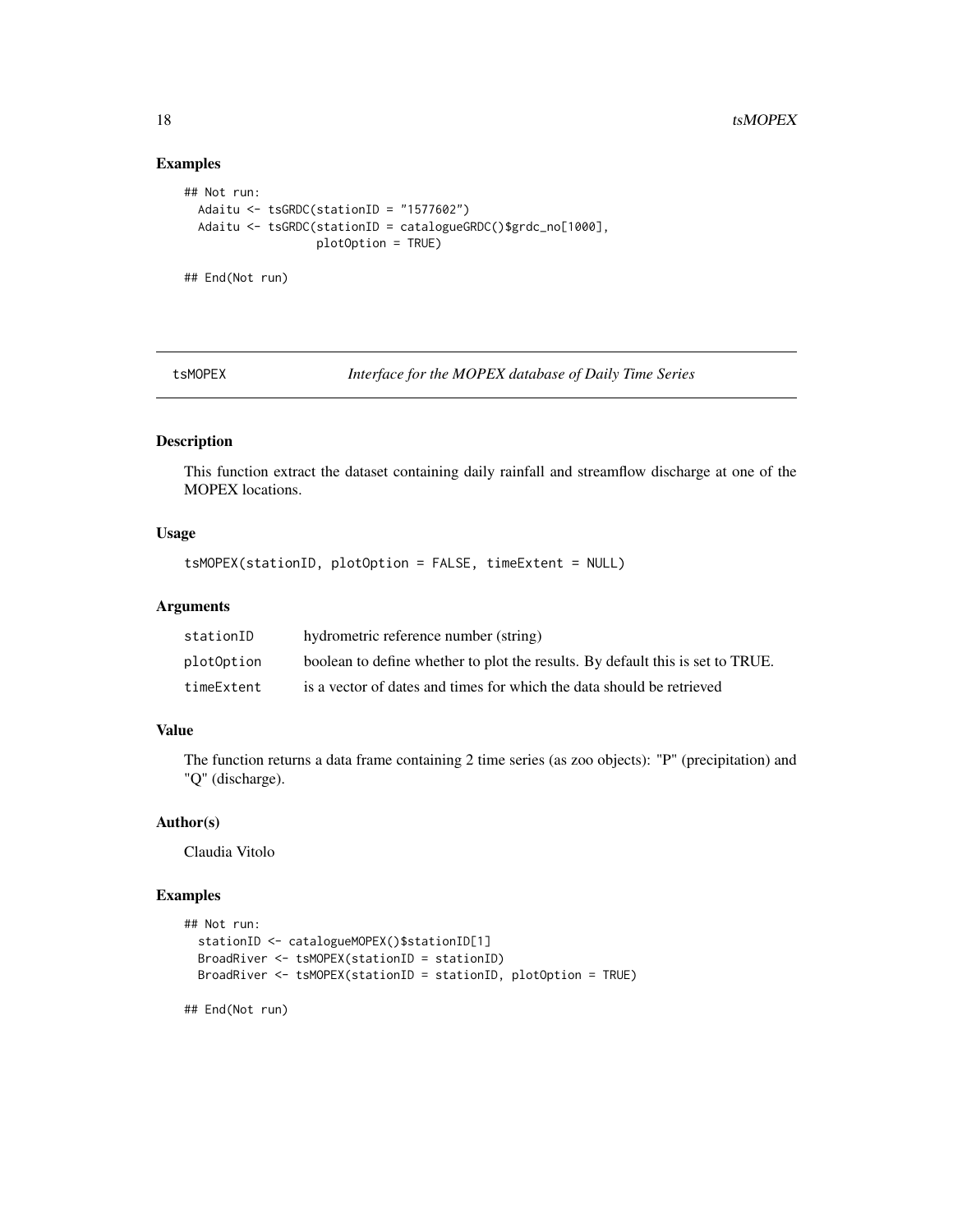# Examples

```
## Not run:
 Adaitu <- tsGRDC(stationID = "1577602")
 Adaitu <- tsGRDC(stationID = catalogueGRDC()$grdc_no[1000],
                  plotOption = TRUE)
## End(Not run)
```
tsMOPEX *Interface for the MOPEX database of Daily Time Series*

# Description

This function extract the dataset containing daily rainfall and streamflow discharge at one of the MOPEX locations.

#### Usage

```
tsMOPEX(stationID, plotOption = FALSE, timeExtent = NULL)
```
#### Arguments

| stationID  | hydrometric reference number (string)                                          |
|------------|--------------------------------------------------------------------------------|
| plotOption | boolean to define whether to plot the results. By default this is set to TRUE. |
| timeExtent | is a vector of dates and times for which the data should be retrieved          |

#### Value

The function returns a data frame containing 2 time series (as zoo objects): "P" (precipitation) and "Q" (discharge).

# Author(s)

Claudia Vitolo

```
## Not run:
 stationID <- catalogueMOPEX()$stationID[1]
 BroadRiver <- tsMOPEX(stationID = stationID)
 BroadRiver <- tsMOPEX(stationID = stationID, plotOption = TRUE)
## End(Not run)
```
<span id="page-17-0"></span>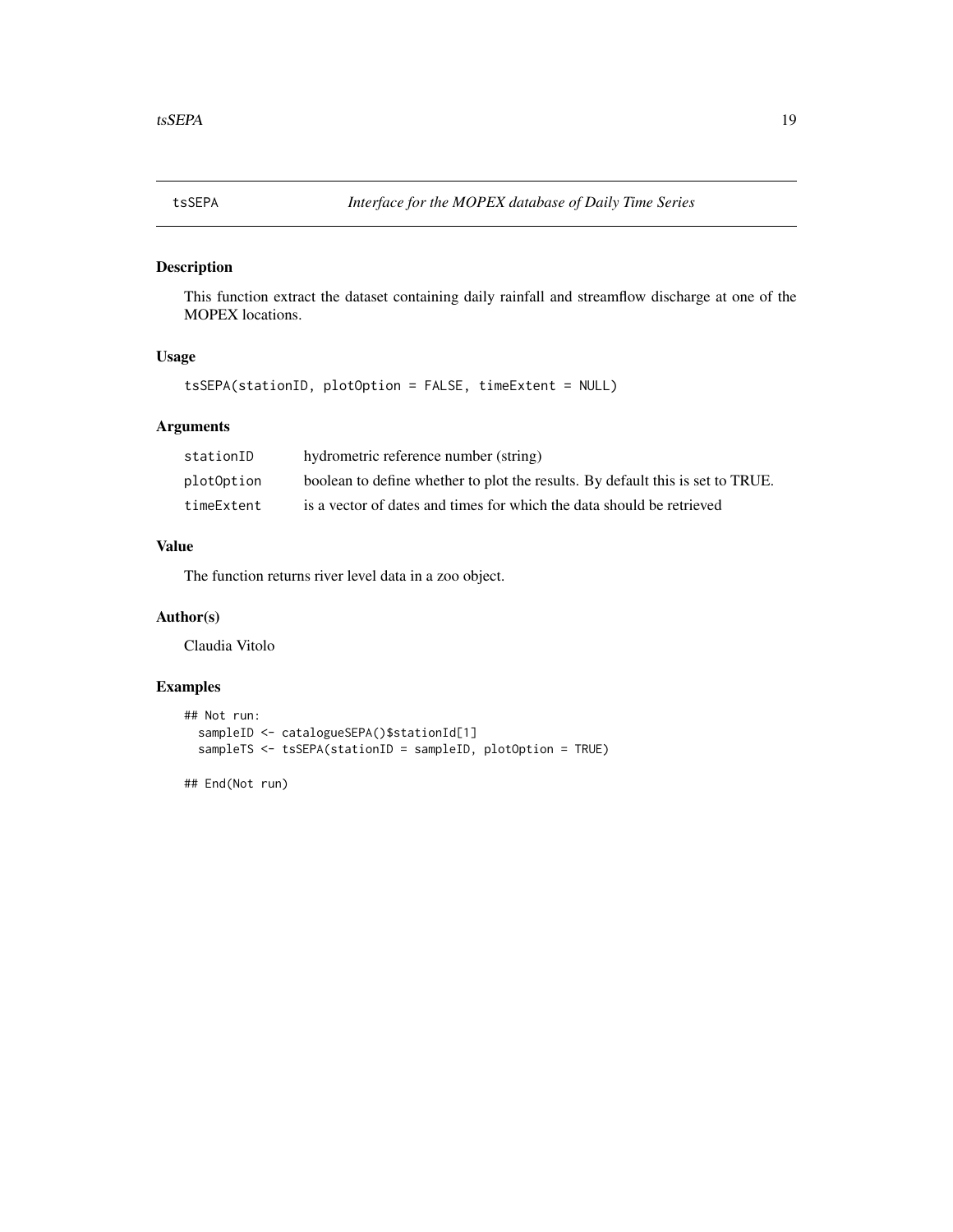<span id="page-18-0"></span>

This function extract the dataset containing daily rainfall and streamflow discharge at one of the MOPEX locations.

#### Usage

```
tsSEPA(stationID, plotOption = FALSE, timeExtent = NULL)
```
# Arguments

| stationID  | hydrometric reference number (string)                                          |
|------------|--------------------------------------------------------------------------------|
| plotOption | boolean to define whether to plot the results. By default this is set to TRUE. |
| timeExtent | is a vector of dates and times for which the data should be retrieved          |

# Value

The function returns river level data in a zoo object.

# Author(s)

Claudia Vitolo

```
## Not run:
  sampleID <- catalogueSEPA()$stationId[1]
  sampleTS <- tsSEPA(stationID = sampleID, plotOption = TRUE)
## End(Not run)
```